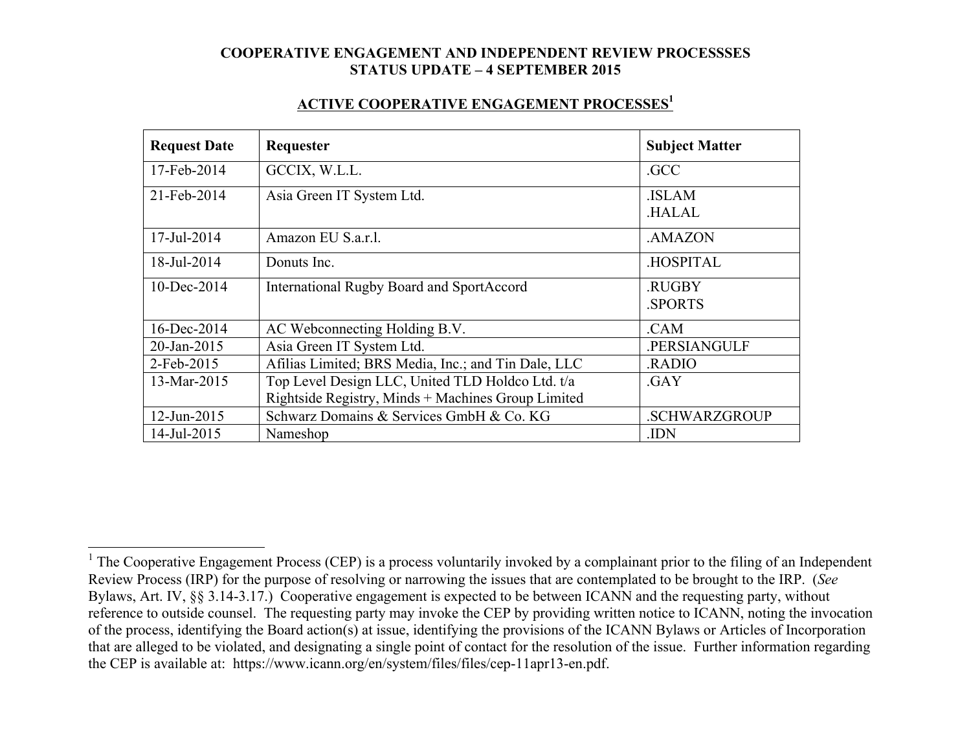#### **ACTIVE COOPERATIVE ENGAGEMENT PROCESSES1**

| <b>Request Date</b> | Requester                                           | <b>Subject Matter</b>         |
|---------------------|-----------------------------------------------------|-------------------------------|
| 17-Feb-2014         | GCCIX, W.L.L.                                       | .GCC                          |
| 21-Feb-2014         | Asia Green IT System Ltd.                           | <b>ISLAM</b><br><b>HALAL</b>  |
| 17-Jul-2014         | Amazon EU S.a.r.l.                                  | .AMAZON                       |
| 18-Jul-2014         | Donuts Inc.                                         | <b>HOSPITAL</b>               |
| $10$ -Dec-2014      | <b>International Rugby Board and SportAccord</b>    | <b>RUGBY</b><br><b>SPORTS</b> |
| 16-Dec-2014         | AC Webconnecting Holding B.V.                       | .CAM                          |
| 20-Jan-2015         | Asia Green IT System Ltd.                           | .PERSIANGULF                  |
| 2-Feb-2015          | Afilias Limited; BRS Media, Inc.; and Tin Dale, LLC | <b>RADIO</b>                  |
| 13-Mar-2015         | Top Level Design LLC, United TLD Holdco Ltd. t/a    | .GAY                          |
|                     | Rightside Registry, Minds + Machines Group Limited  |                               |
| 12-Jun-2015         | Schwarz Domains & Services GmbH & Co. KG            | <b>.SCHWARZGROUP</b>          |
| 14-Jul-2015         | Nameshop                                            | .IDN                          |

<sup>&</sup>lt;sup>1</sup> The Cooperative Engagement Process (CEP) is a process voluntarily invoked by a complainant prior to the filing of an Independent Review Process (IRP) for the purpose of resolving or narrowing the issues that are contemplated to be brought to the IRP. (*See* Bylaws, Art. IV, §§ 3.14-3.17.) Cooperative engagement is expected to be between ICANN and the requesting party, without reference to outside counsel. The requesting party may invoke the CEP by providing written notice to ICANN, noting the invocation of the process, identifying the Board action(s) at issue, identifying the provisions of the ICANN Bylaws or Articles of Incorporation that are alleged to be violated, and designating a single point of contact for the resolution of the issue. Further information regarding the CEP is available at: https://www.icann.org/en/system/files/files/cep-11apr13-en.pdf.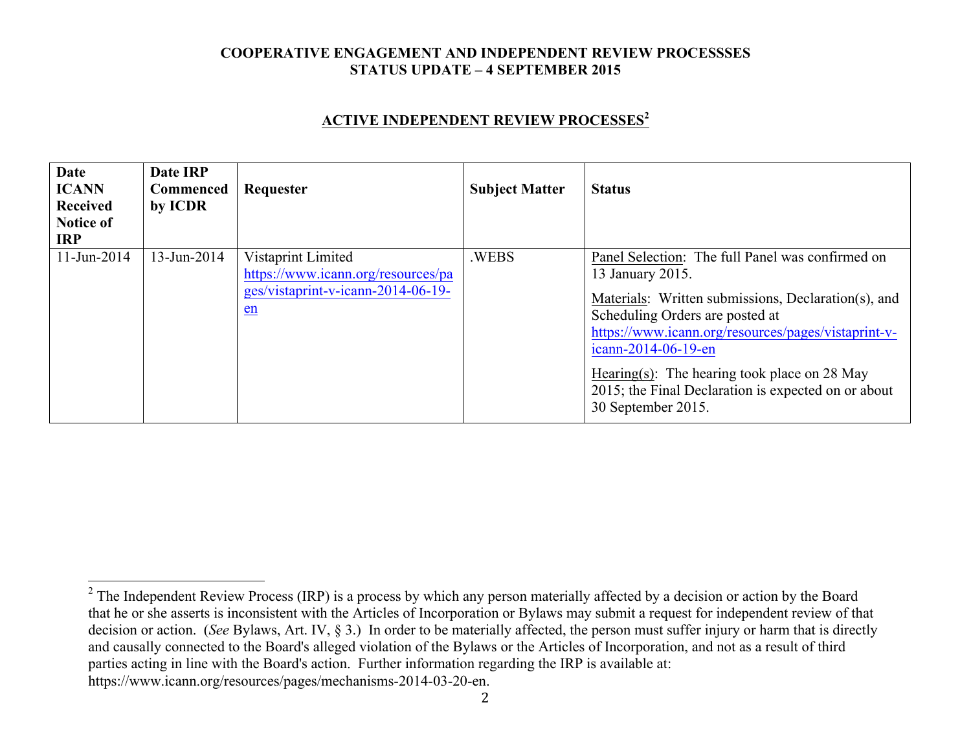## **ACTIVE INDEPENDENT REVIEW PROCESSES<sup>2</sup>**

| Date<br><b>ICANN</b><br><b>Received</b><br><b>Notice of</b><br><b>IRP</b> | Date IRP<br>Commenced<br>by ICDR | Requester                                                                                              | <b>Subject Matter</b> | <b>Status</b>                                                                                                                                                                                                                                                                                                                                                               |
|---------------------------------------------------------------------------|----------------------------------|--------------------------------------------------------------------------------------------------------|-----------------------|-----------------------------------------------------------------------------------------------------------------------------------------------------------------------------------------------------------------------------------------------------------------------------------------------------------------------------------------------------------------------------|
| $11$ -Jun-2014                                                            | 13-Jun-2014                      | Vistaprint Limited<br>https://www.icann.org/resources/pa<br>ges/vistaprint-v-icann-2014-06-19-<br>$en$ | .WEBS                 | Panel Selection: The full Panel was confirmed on<br>13 January 2015.<br>Materials: Written submissions, Declaration(s), and<br>Scheduling Orders are posted at<br>https://www.icann.org/resources/pages/vistaprint-v-<br>icann-2014-06-19-en<br>Hearing(s): The hearing took place on $28$ May<br>2015; the Final Declaration is expected on or about<br>30 September 2015. |

2

 $2$  The Independent Review Process (IRP) is a process by which any person materially affected by a decision or action by the Board that he or she asserts is inconsistent with the Articles of Incorporation or Bylaws may submit a request for independent review of that decision or action. (*See* Bylaws, Art. IV, § 3.) In order to be materially affected, the person must suffer injury or harm that is directly and causally connected to the Board's alleged violation of the Bylaws or the Articles of Incorporation, and not as a result of third parties acting in line with the Board's action. Further information regarding the IRP is available at: https://www.icann.org/resources/pages/mechanisms-2014-03-20-en.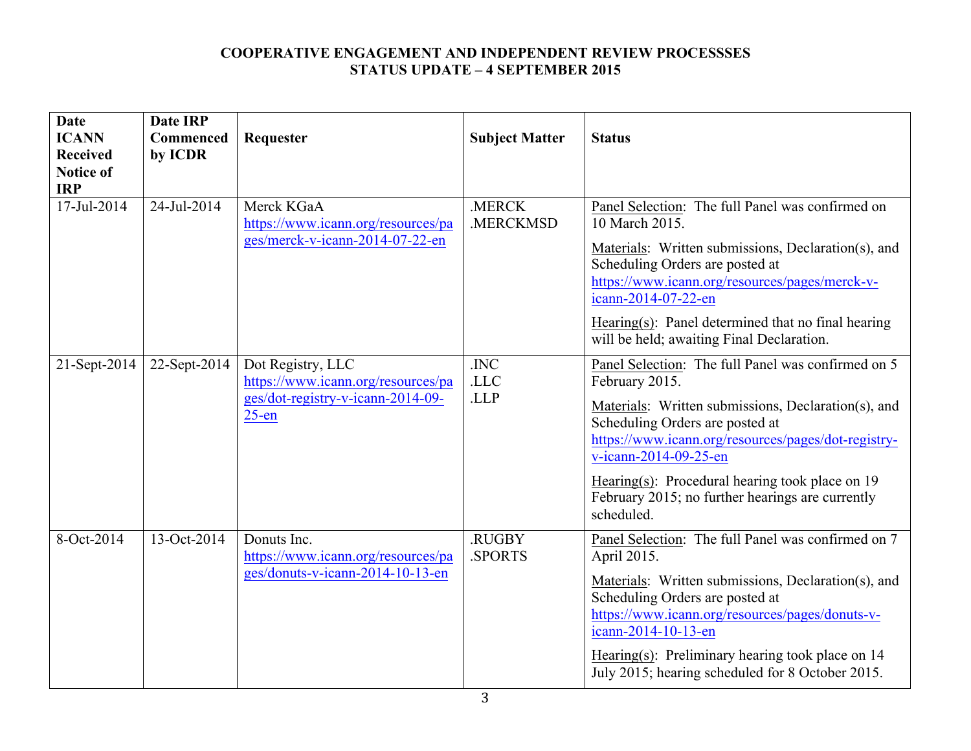| <b>Date</b>                    | <b>Date IRP</b> |                                                  |                       |                                                                                        |
|--------------------------------|-----------------|--------------------------------------------------|-----------------------|----------------------------------------------------------------------------------------|
| <b>ICANN</b>                   | Commenced       | Requester                                        | <b>Subject Matter</b> | <b>Status</b>                                                                          |
| <b>Received</b>                | by ICDR         |                                                  |                       |                                                                                        |
| <b>Notice of</b><br><b>IRP</b> |                 |                                                  |                       |                                                                                        |
|                                |                 |                                                  |                       |                                                                                        |
| 17-Jul-2014                    | 24-Jul-2014     | Merck KGaA<br>https://www.icann.org/resources/pa | .MERCK<br>.MERCKMSD   | Panel Selection: The full Panel was confirmed on<br>10 March 2015.                     |
|                                |                 | ges/merck-v-icann-2014-07-22-en                  |                       | Materials: Written submissions, Declaration(s), and                                    |
|                                |                 |                                                  |                       | Scheduling Orders are posted at                                                        |
|                                |                 |                                                  |                       | https://www.icann.org/resources/pages/merck-v-<br>icann-2014-07-22-en                  |
|                                |                 |                                                  |                       | Hearing(s): Panel determined that no final hearing                                     |
|                                |                 |                                                  |                       | will be held; awaiting Final Declaration.                                              |
| 21-Sept-2014                   | 22-Sept-2014    | Dot Registry, LLC                                | .INC                  | Panel Selection: The full Panel was confirmed on 5                                     |
|                                |                 | https://www.icann.org/resources/pa               | .LLC                  | February 2015.                                                                         |
|                                |                 | ges/dot-registry-v-icann-2014-09-<br>$25$ -en    | .LLP                  | Materials: Written submissions, Declaration(s), and                                    |
|                                |                 |                                                  |                       | Scheduling Orders are posted at<br>https://www.icann.org/resources/pages/dot-registry- |
|                                |                 |                                                  |                       | v-icann-2014-09-25-en                                                                  |
|                                |                 |                                                  |                       | Hearing(s): Procedural hearing took place on $19$                                      |
|                                |                 |                                                  |                       | February 2015; no further hearings are currently<br>scheduled.                         |
| 8-Oct-2014                     | 13-Oct-2014     | Donuts Inc.                                      | .RUGBY                | Panel Selection: The full Panel was confirmed on 7                                     |
|                                |                 | https://www.icann.org/resources/pa               | .SPORTS               | April 2015.                                                                            |
|                                |                 | ges/donuts-v-icann-2014-10-13-en                 |                       | Materials: Written submissions, Declaration(s), and                                    |
|                                |                 |                                                  |                       | Scheduling Orders are posted at                                                        |
|                                |                 |                                                  |                       | https://www.icann.org/resources/pages/donuts-v-<br>icann-2014-10-13-en                 |
|                                |                 |                                                  |                       | Hearing(s): Preliminary hearing took place on $14$                                     |
|                                |                 |                                                  |                       | July 2015; hearing scheduled for 8 October 2015.                                       |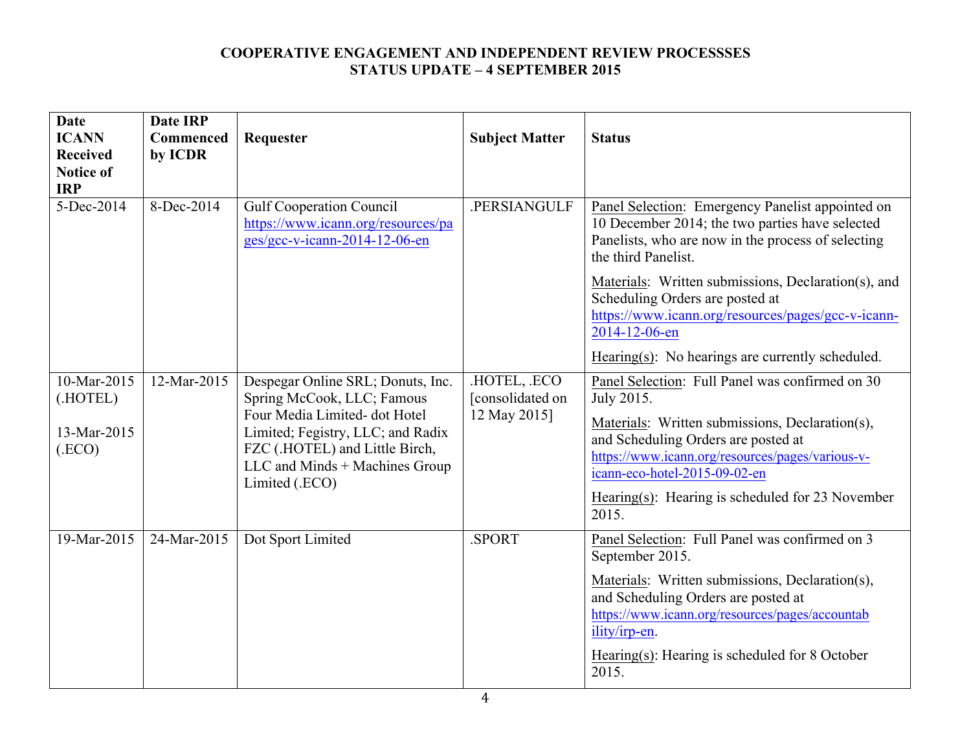| <b>Date</b><br><b>ICANN</b><br><b>Received</b><br><b>Notice of</b><br><b>IRP</b> | <b>Date IRP</b><br>Commenced<br>by ICDR | Requester                                                                                                                                                                                                                   | <b>Subject Matter</b>                          | <b>Status</b>                                                                                                                                                                                                                                                                                             |
|----------------------------------------------------------------------------------|-----------------------------------------|-----------------------------------------------------------------------------------------------------------------------------------------------------------------------------------------------------------------------------|------------------------------------------------|-----------------------------------------------------------------------------------------------------------------------------------------------------------------------------------------------------------------------------------------------------------------------------------------------------------|
| 5-Dec-2014                                                                       | 8-Dec-2014                              | <b>Gulf Cooperation Council</b><br>https://www.icann.org/resources/pa<br>ges/gcc-v-icann-2014-12-06-en                                                                                                                      | .PERSIANGULF                                   | Panel Selection: Emergency Panelist appointed on<br>10 December 2014; the two parties have selected<br>Panelists, who are now in the process of selecting<br>the third Panelist.                                                                                                                          |
|                                                                                  |                                         |                                                                                                                                                                                                                             |                                                | Materials: Written submissions, Declaration(s), and<br>Scheduling Orders are posted at<br>https://www.icann.org/resources/pages/gcc-v-icann-<br>2014-12-06-en                                                                                                                                             |
|                                                                                  |                                         |                                                                                                                                                                                                                             |                                                | Hearing(s): No hearings are currently scheduled.                                                                                                                                                                                                                                                          |
| 10-Mar-2015<br>(.HOTEL)<br>13-Mar-2015<br>(ECO)                                  | 12-Mar-2015                             | Despegar Online SRL; Donuts, Inc.<br>Spring McCook, LLC; Famous<br>Four Media Limited- dot Hotel<br>Limited; Fegistry, LLC; and Radix<br>FZC (.HOTEL) and Little Birch,<br>LLC and Minds + Machines Group<br>Limited (.ECO) | HOTEL, ECO<br>[consolidated on<br>12 May 2015] | Panel Selection: Full Panel was confirmed on 30<br>July 2015.<br>Materials: Written submissions, Declaration(s),<br>and Scheduling Orders are posted at<br>https://www.icann.org/resources/pages/various-v-<br>icann-eco-hotel-2015-09-02-en<br>Hearing(s): Hearing is scheduled for 23 November<br>2015. |
| 19-Mar-2015                                                                      | 24-Mar-2015                             | Dot Sport Limited                                                                                                                                                                                                           | .SPORT                                         | Panel Selection: Full Panel was confirmed on 3<br>September 2015.<br>Materials: Written submissions, Declaration(s),<br>and Scheduling Orders are posted at<br>https://www.icann.org/resources/pages/accountab<br>ility/irp-en.<br>Hearing(s): Hearing is scheduled for 8 October<br>2015.                |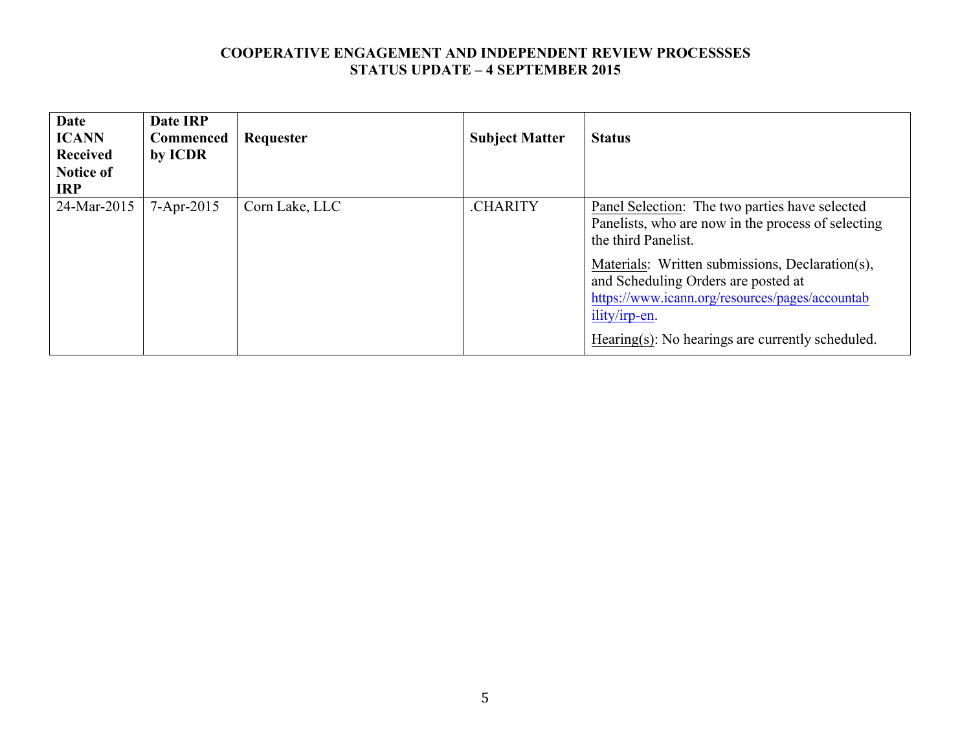| <b>Date</b><br><b>ICANN</b><br><b>Received</b><br><b>Notice of</b><br><b>IRP</b> | Date IRP<br><b>Commenced</b><br>by ICDR | Requester      | <b>Subject Matter</b> | <b>Status</b>                                                                                                                                                                                                                                                                                                                                        |
|----------------------------------------------------------------------------------|-----------------------------------------|----------------|-----------------------|------------------------------------------------------------------------------------------------------------------------------------------------------------------------------------------------------------------------------------------------------------------------------------------------------------------------------------------------------|
| 24-Mar-2015                                                                      | $7 - Apr - 2015$                        | Corn Lake, LLC | .CHARITY              | <b>Panel Selection:</b> The two parties have selected<br>Panelists, who are now in the process of selecting<br>the third Panelist.<br>Materials: Written submissions, Declaration(s),<br>and Scheduling Orders are posted at<br>https://www.icann.org/resources/pages/accountab<br>ility/irp-en.<br>Hearing(s): No hearings are currently scheduled. |